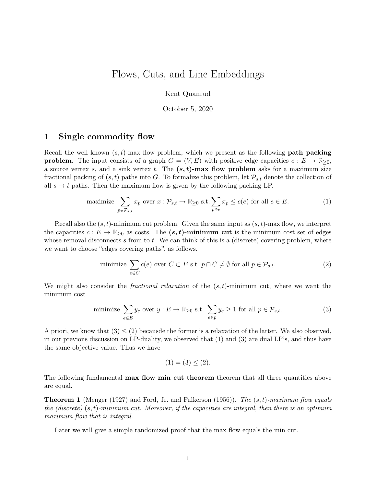# <span id="page-0-1"></span>Flows, Cuts, and Line Embeddings

Kent Quanrud

October 5, 2020

# <span id="page-0-0"></span>1 Single commodity flow

Recall the well known  $(s, t)$ -max flow problem, which we present as the following **path packing problem**. The input consists of a graph  $G = (V, E)$  with positive edge capacities  $c : E \to \mathbb{R}_{\geq 0}$ , a source vertex s, and a sink vertex t. The  $(s, t)$ -max flow problem asks for a maximum size fractional packing of  $(s, t)$  paths into G. To formalize this problem, let  $\mathcal{P}_{s,t}$  denote the collection of all  $s \to t$  paths. Then the maximum flow is given by the following packing LP.

maximize 
$$
\sum_{p \in \mathcal{P}_{s,t}} x_p
$$
 over  $x : \mathcal{P}_{s,t} \to \mathbb{R}_{\geq 0}$  s.t.  $\sum_{p \ni e} x_p \leq c(e)$  for all  $e \in E$ . (1)

Recall also the  $(s, t)$ -minimum cut problem. Given the same input as  $(s, t)$ -max flow, we interpret the capacities  $c : E \to \mathbb{R}_{\geq 0}$  as costs. The  $(s, t)$ -minimum cut is the minimum cost set of edges whose removal disconnects s from to t. We can think of this is a (discrete) covering problem, where we want to choose "edges covering paths", as follows.

minimize 
$$
\sum_{e \in C} c(e)
$$
 over  $C \subset E$  s.t.  $p \cap C \neq \emptyset$  for all  $p \in \mathcal{P}_{s,t}$ . (2)

We might also consider the *fractional relaxation* of the  $(s, t)$ -minimum cut, where we want the minimum cost

minimize 
$$
\sum_{e \in E} y_e
$$
 over  $y : E \to \mathbb{R}_{\geq 0}$  s.t.  $\sum_{e \in p} y_e \geq 1$  for all  $p \in \mathcal{P}_{s,t}$ . (3)

A priori, we know that  $(3) \leq (2)$  $(3) \leq (2)$  $(3) \leq (2)$  becausde the former is a relaxation of the latter. We also observed, in our previous discussion on LP-duality, we observed that [\(1\)](#page-0-0) and [\(3\)](#page-0-0) are dual LP's, and thus have the same objective value. Thus we have

$$
(1) = (3) \leq (2).
$$

The following fundamental **max flow min cut theorem** theorem that all three quantities above are equal.

**Theorem 1** (Menger [\(1927\)](#page-9-0) and Ford, Jr. and Fulkerson [\(1956\)](#page-9-1)). The  $(s, t)$ -maximum flow equals the (discrete)  $(s, t)$ -minimum cut. Moreover, if the capacities are integral, then there is an optimum maximum flow that is integral.

Later we will give a simple randomized proof that the max flow equals the min cut.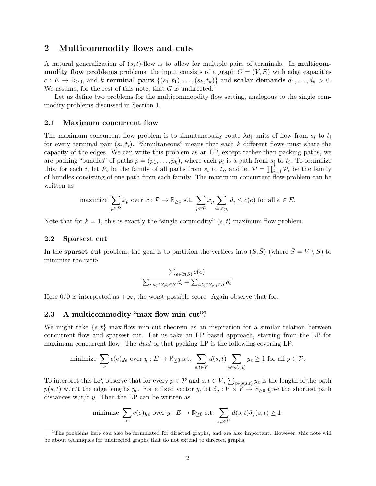# 2 Multicommodity flows and cuts

A natural generalization of  $(s, t)$ -flow is to allow for multiple pairs of terminals. In **multicom**modity flow problems problems, the input consists of a graph  $G = (V, E)$  with edge capacities  $c: E \to \mathbb{R}_{\geq 0}$ , and k terminal pairs  $\{(s_1, t_1), \ldots, (s_k, t_k)\}\$  and scalar demands  $d_1, \ldots, d_k > 0$ . We assume, for the rest of this note, that  $G$  is undirected.<sup>[1](#page-0-1)</sup>

Let us define two problems for the multicommopdity flow setting, analogous to the single commodity problems discussed in [Section 1.](#page-0-0)

## 2.1 Maximum concurrent flow

The maximum concurrent flow problem is to simultaneously route  $\lambda d_i$  units of flow from  $s_i$  to  $t_i$ for every terminal pair  $(s_i, t_i)$ . "Simultaneous" means that each k different flows must share the capacity of the edges. We can write this problem as an LP, except rather than packing paths, we are packing "bundles" of paths  $p = (p_1, \ldots, p_k)$ , where each  $p_i$  is a path from  $s_i$  to  $t_i$ . To formalize this, for each i, let  $\mathcal{P}_i$  be the family of all paths from  $s_i$  to  $t_i$ , and let  $\mathcal{P} = \prod_{i=1}^k \mathcal{P}_i$  be the family of bundles consisting of one path from each family. The maximum concurrent flow problem can be written as

maximize 
$$
\sum_{p \in \mathcal{P}} x_p
$$
 over  $x : \mathcal{P} \to \mathbb{R}_{\geq 0}$  s.t.  $\sum_{p \in \mathcal{P}} x_p \sum_{i:e \in p_i} d_i \leq c(e)$  for all  $e \in E$ .

Note that for  $k = 1$ , this is exactly the "single commodity"  $(s, t)$ -maximum flow problem.

## 2.2 Sparsest cut

In the **sparset cut** problem, the goal is to partition the vertices into  $(S, \overline{S})$  (where  $\overline{S} = V \setminus S$ ) to minimize the ratio

$$
\frac{\sum_{e \in \partial(S)} c(e)}{\sum_{i:s_i \in S, t_i \in \bar{S}} d_i + \sum_{i:t_i \in S, s_i \in \bar{S}} d_i}
$$

.

Here  $0/0$  is interpreted as  $+\infty$ , the worst possible score. Again observe that for.

### <span id="page-1-0"></span>2.3 A multicommodity "max flow min cut"?

We might take  $\{s, t\}$  max-flow min-cut theorem as an inspiration for a similar relation between concurrent flow and sparsest cut. Let us take an LP based approach, starting from the LP for maximum concurrent flow. The *dual* of that packing LP is the following covering LP.

minimize 
$$
\sum_{e} c(e)y_e
$$
 over  $y : E \to \mathbb{R}_{\geq 0}$  s.t.  $\sum_{s,t \in V} d(s,t) \sum_{e \in p(s,t)} y_e \geq 1$  for all  $p \in \mathcal{P}$ .

To interpret this LP, observe that for every  $p \in \mathcal{P}$  and  $s, t \in V$ ,  $\sum_{e \in p(s,t)} y_e$  is the length of the path  $p(s,t)$  w/r/t the edge lengths  $y_e$ . For a fixed vector y, let  $\delta_y : V \times V \to \mathbb{R}_{\geq 0}$  give the shortest path distances  $w/r/t$  y. Then the LP can be written as

minimize 
$$
\sum_{e} c(e)y_e
$$
 over  $y: E \to \mathbb{R}_{\geq 0}$  s.t.  $\sum_{s,t \in V} d(s,t)\delta_y(s,t) \geq 1$ .

 $1$ The problems here can also be formulated for directed graphs, and are also important. However, this note will be about techniques for undirected graphs that do not extend to directed graphs.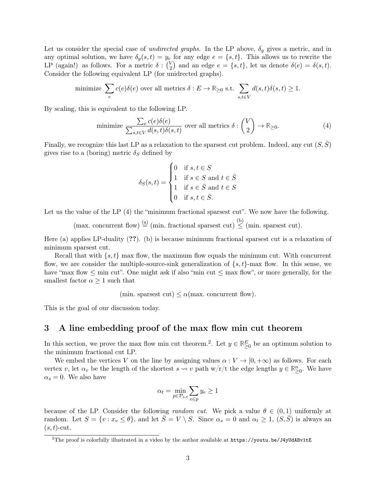Let us consider the special case of *undirected graphs*. In the LP above,  $\delta_y$  gives a metric, and in any optimal solution, we have  $\delta_y(s,t) = y_e$  for any edge  $e = \{s,t\}$ . This allows us to rewrite the LP (again!) as follows. For a metric  $\delta: \binom{V_2}{2}$  $\binom{V}{2}$  and an edge  $e = \{s, t\}$ , let us denote  $\delta(e) = \delta(s, t)$ . Consider the following equivalent LP (for unidrected graphs).

minimize 
$$
\sum_{e} c(e)\delta(e)
$$
 over all metrics  $\delta: E \to \mathbb{R}_{\geq 0}$  s.t.  $\sum_{s,t \in V} d(s,t)\delta(s,t) \geq 1$ .

By scaling, this is equivalent to the following LP.

minimize 
$$
\frac{\sum_{e} c(e)\delta(e)}{\sum_{s,t \in V} d(s,t)\delta(s,t)}
$$
 over all metrics  $\delta: \binom{V}{2} \to \mathbb{R}_{\geq 0}$ . (4)

Finally, we recognize this last LP as a relaxation to the sparsest cut problem. Indeed, any cut  $(S, \overline{S})$ gives rise to a (boring) metric  $\delta_S$  defined by

$$
\delta_S(s,t) = \begin{cases}\n0 & \text{if } s, t \in S \\
1 & \text{if } s \in S \text{ and } t \in \bar{S} \\
1 & \text{if } s \in \bar{S} \text{ and } t \in S \\
0 & \text{if } s, t \in \bar{S}.\n\end{cases}
$$

Let us the value of the LP  $(4)$  the "minimum fractional sparsest cut". We now have the following.

(max. concurrent flow)  $\stackrel{\text{(a)}}{=}$  (min. fractional sparsest cut)  $\stackrel{\text{(b)}}{\leq}$  (min. sparsest cut).

Here (a) applies LP-duality (??). (b) is because minimum fractional sparsest cut is a relaxation of minimum sparsest cut.

Recall that with  $\{s, t\}$  max flow, the maximum flow equals the minimum cut. With concurrent flow, we are consider the multiple-source-sink generalization of  $\{s, t\}$ -max flow. In this sense, we have "max flow  $\leq$  min cut". One might ask if also "min cut  $\leq$  max flow", or more generally, for the smallest factor  $\alpha \geq 1$  such that

(min. sparsest cut)  $\lt \alpha$ (max. concurrent flow).

This is the goal of our discussion today.

# 3 A line embedding proof of the max flow min cut theorem

In this section, we prove the max flow min cut theorem.<sup>[2](#page-0-1)</sup>. Let  $y \in \mathbb{R}^E_{\geq 0}$  be an optimum solution to the minimum fractional cut LP.

We embed the vertices V on the line by assigning values  $\alpha : V \to [0, +\infty)$  as follows. For each vertex v, let  $\alpha_v$  be the length of the shortest  $s \leadsto v$  path w/r/t the edge lengths  $y \in \mathbb{R}^n_{\geq 0}$ . We have  $\alpha_s = 0$ . We also have

$$
\alpha_t = \min_{p \in \mathcal{P}_{s,t}} \sum_{e \in p} y_e \ge 1
$$

because of the LP. Consider the following *random cut*. We pick a value  $\theta \in (0,1)$  uniformly at random. Let  $S = \{v : x_v \le \theta\}$ , and let  $\overline{S} = V \setminus S$ . Since  $\alpha_s = 0$  and  $\alpha_t \ge 1$ ,  $(S, \overline{S})$  is always an  $(s, t)$ -cut.

<sup>&</sup>lt;sup>2</sup>The proof is colorfully illustrated in a video by the author available at  $https://youtu.be/J4yUdABv1tE$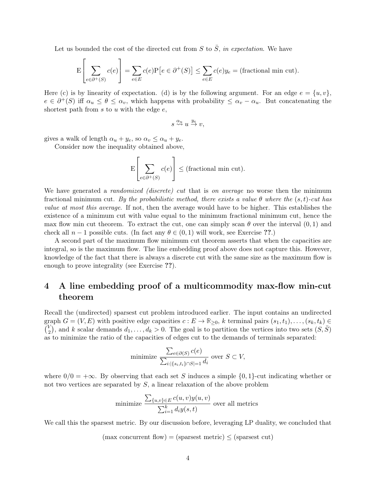Let us bounded the cost of the directed cut from  $S$  to  $\overline{S}$ , in expectation. We have

$$
\mathcal{E}\left[\sum_{e \in \partial^+(S)} c(e)\right] = \sum_{e \in E} c(e)\mathcal{P}\left[e \in \partial^+(S)\right] \le \sum_{e \in E} c(e)y_e = \text{(fractional min cut)}.
$$

Here (c) is by linearity of expectation. (d) is by the following argument. For an edge  $e = \{u, v\}$ ,  $e \in \partial^+(S)$  iff  $\alpha_u \leq \theta \leq \alpha_v$ , which happens with probability  $\leq \alpha_v - \alpha_u$ . But concatenating the shortest path from  $s$  to  $u$  with the edge  $e$ ,

$$
s \stackrel{\alpha_u}{\leadsto} u \stackrel{y_e}{\to} v,
$$

gives a walk of length  $\alpha_u + y_e$ , so  $\alpha_v \leq \alpha_u + y_e$ .

Consider now the inequality obtained above,

$$
E\left[\sum_{e \in \partial^+(S)} c(e)\right] \leq \text{(fractional min cut)}.
$$

We have generated a *randomized (discrete) cut* that is on average no worse then the minimum fractional minimum cut. By the probabilistic method, there exists a value  $\theta$  where the  $(s, t)$ -cut has value at most this average. If not, then the average would have to be higher. This establishes the existence of a minimum cut with value equal to the minimum fractional minimum cut, hence the max flow min cut theorem. To extract the cut, one can simply scan  $\theta$  over the interval  $(0,1)$  and check all  $n-1$  possible cuts. (In fact any  $\theta \in (0,1)$  will work, see Exercise ??.)

A second part of the maximum flow minimum cut theorem asserts that when the capacities are integral, so is the maximum flow. The line embedding proof above does not capture this. However, knowledge of the fact that there is always a discrete cut with the same size as the maximum flow is enough to prove integrality (see Exercise ??).

# 4 A line embedding proof of a multicommodity max-flow min-cut theorem

Recall the (undirected) sparsest cut problem introduced earlier. The input contains an undirected graph  $G = (V, E)$  with positive edge capacities  $c : E \to \mathbb{R}_{\geq 0}$ , k terminal pairs  $(s_1, t_1), \ldots, (s_k, t_k) \in$  $\binom{V}{2}$  $\binom{V}{2}$ , and k scalar demands  $d_1, \ldots, d_k > 0$ . The goal is to partition the vertices into two sets  $(S, \bar{S})$ as to minimize the ratio of the capacities of edges cut to the demands of terminals separated:

minimize 
$$
\frac{\sum_{e \in \partial(S)} c(e)}{\sum_{i:|\{s_i, t_i\} \cap S| = 1} d_i}
$$
 over  $S \subset V$ ,

where  $0/0 = +\infty$ . By observing that each set S induces a simple  $\{0, 1\}$ -cut indicating whether or not two vertices are separated by  $S$ , a linear relaxation of the above problem

minimize 
$$
\frac{\sum_{\{u,v\} \in E} c(u,v)y(u,v)}{\sum_{i=1}^{k} d_i y(s,t)}
$$
 over all metrics

We call this the sparsest metric. By our discussion before, leveraging LP duality, we concluded that

 $(max \text{ concurrent flow}) = (sparest \text{ metric}) \le (sparest \text{ cut})$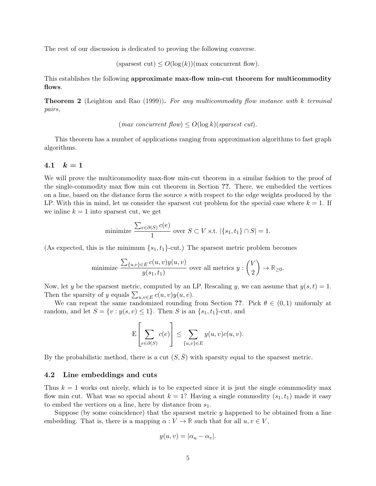The rest of our discussion is dedicated to proving the following converse.

(sparsest cut)  $\leq O(\log(k))$  (max concurrent flow).

This establishes the following approximate max-flow min-cut theorem for multicommodity flows.

**Theorem 2** (Leighton and Rao [\(1999\)](#page-9-2)). For any multicommodity flow instance with k terminal pairs,

$$
(max\;concurrent\;flow) \leq O(log\;k)(sparsest\;cut).
$$

This theorem has a number of applications ranging from approximation algorithms to fast graph algorithms.

## 4.1  $k = 1$

We will prove the multicommodity max-flow min-cut theorem in a similar fashion to the proof of the single-commodity max flow min cut theorem in Section ??. There, we embedded the vertices on a line, based on the distance form the source s with respect to the edge weights produced by the LP. With this in mind, let us consider the sparsest cut problem for the special case where  $k = 1$ . If we inline  $k = 1$  into sparsest cut, we get

minimize 
$$
\frac{\sum_{e \in \partial(S)} c(e)}{1}
$$
 over  $S \subset V$  s.t.  $|\{s_1, t_1\} \cap S| = 1$ .

(As expected, this is the minimum  $\{s_1, t_1\}$ -cut.) The sparsest metric problem becomes

minimize 
$$
\frac{\sum_{\{u,v\}\in E} c(u,v)y(u,v)}{y(s_1,t_1)}
$$
 over all metrics  $y: \binom{V}{2} \to \mathbb{R}_{\geq 0}$ .

Now, let y be the sparsest metric, computed by an LP. Rescaling y, we can assume that  $y(s,t) = 1$ . Then the sparsity of y equals  $\sum_{u,v\in E} c(u,v)y(u,v)$ .

We can repeat the same randomized rounding from Section ??. Pick  $\theta \in (0,1)$  uniformly at random, and let  $S = \{v : y(s, v) \leq 1\}$ . Then S is an  $\{s_1, t_1\}$ -cut, and

$$
\mathcal{E}\left[\sum_{e \in \partial(S)} c(e)\right] \leq \sum_{\{u,v\} \in E} y(u,v)c(u,v).
$$

By the probabilistic method, there is a cut  $(S,\bar{S})$  with sparsity equal to the sparsest metric.

## 4.2 Line embeddings and cuts

Thus  $k = 1$  works out nicely, which is to be expected since it is jsut the single commmodity max flow min cut. What was so special about  $k = 1$ ? Having a single commodity  $(s_1, t_1)$  made it easy to embed the vertices on a line, here by distance from  $s_1$ .

Suppose (by some coincidence) that the sparsest metric y happened to be obtained from a line embedding. That is, there is a mapping  $\alpha : V \to \mathbb{R}$  such that for all  $u, v \in V$ ,

$$
y(u, v) = |\alpha_u - \alpha_v|.
$$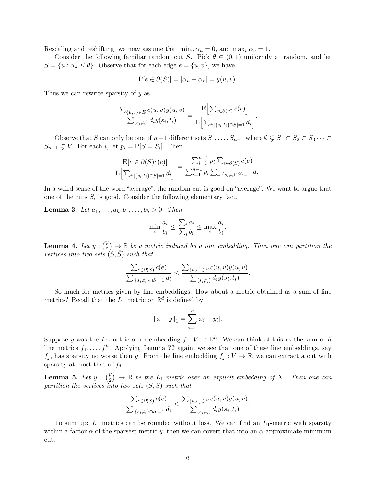Rescaling and reshifting, we may assume that  $\min_u \alpha_u = 0$ , and  $\max_v \alpha_v = 1$ .

Consider the following familiar random cut S. Pick  $\theta \in (0,1)$  uniformly at random, and let  $S = \{u : \alpha_u \leq \theta\}.$  Observe that for each edge  $e = \{u, v\}$ , we have

$$
P[e \in \partial(S)] = |\alpha_u - \alpha_v| = y(u, v).
$$

Thus we can rewrite sparsity of y as

$$
\frac{\sum_{\{u,v\}\in E} c(u,v)y(u,v)}{\sum_{(s_i,t_i)} d_i y(s_i,t_i)} = \frac{\mathbb{E}\Big[\sum_{e\in\partial(S)} c(e)\Big]}{\mathbb{E}\Big[\sum_{i:\|\{s_i,t_i\}\cap S\|=1} d_i\Big]}.
$$

Observe that S can only be one of  $n-1$  different sets  $S_1, \ldots, S_{n-1}$  where  $\emptyset \subsetneq S_1 \subset S_2 \subset S_3 \cdots \subset S_n$  $S_{n-1} \subsetneq V$ . For each i, let  $p_i = P[S = S_i]$ . Then

$$
\frac{\mathrm{E}[e \in \partial(S)c(e)]}{\mathrm{E}\Big[\sum_{i:\{|s_i,t_i\}\cap S|=1}d_i\Big]} = \frac{\sum_{i=1}^{n-1} p_i \sum_{e \in \partial(S)} c(e)}{\sum_{i=1}^{n-1} p_i \sum_{i:\{|s_i,t_i\cap S\}=1}d_i}.
$$

In a weird sense of the word "average", the random cut is good on "average". We want to argue that one of the cuts  $S_i$  is good. Consider the following elementary fact.

**Lemma 3.** Let  $a_1, ..., a_h, b_1, ..., b_h > 0$ . Then

$$
\min_{i} \frac{a_i}{b_i} \le \frac{\sum_i a_i}{\sum_i b_i} \le \max_{i} \frac{a_i}{b_i}.
$$

**Lemma 4.** Let  $y: \begin{pmatrix} 0 \\ 2 \end{pmatrix}$  $\binom{V}{2}$   $\rightarrow$  R be a metric induced by a line embedding. Then one can partition the vertices into two sets  $(S, \overline{S})$  such that

$$
\frac{\sum_{e \in \partial(S)} c(e)}{\sum_{|\{s_i, t_i\} \cap S| = 1} d_i} \leq \frac{\sum_{\{u, v\} \in E} c(u, v) y(u, v)}{\sum_{(s_i, t_i)} d_i y(s_i, t_i)}.
$$

So much for metrics given by line embeddings. How about a metric obtained as a sum of line metrics? Recall that the  $L_1$  metric on  $\mathbb{R}^d$  is defined by

$$
||x - y||_1 = \sum_{i=1}^n |x_i - y_i|.
$$

Suppose y was the L<sub>1</sub>-metric of an embedding  $f: V \to \mathbb{R}^h$ . We can think of this as the sum of h line metrics  $f_1, \ldots, f^h$ . Applying Lemma ?? again, we see that one of these line embeddings, say  $f_j$ , has sparsity no worse then y. From the line embedding  $f_j : V \to \mathbb{R}$ , we can extract a cut with sparsity at most that of  $f_i$ .

**Lemma 5.** Let  $y : \binom{V}{2}$  $\binom{V}{2}$   $\rightarrow$  R be the L<sub>1</sub>-metric over an explicit embedding of X. Then one can partition the vertices into two sets  $(S, S)$  such that

$$
\frac{\sum_{e \in \partial(S)} c(e)}{\sum_{|\{s_i, t_i\} \cap S| = 1} d_i} \le \frac{\sum_{\{u, v\} \in E} c(u, v) y(u, v)}{\sum_{(s_i, t_i)} d_i y(s_i, t_i)}.
$$

To sum up:  $L_1$  metrics can be rounded without loss. We can find an  $L_1$ -metric with sparsity within a factor  $\alpha$  of the sparsest metric y, then we can covert that into an  $\alpha$ -approximate minimum cut.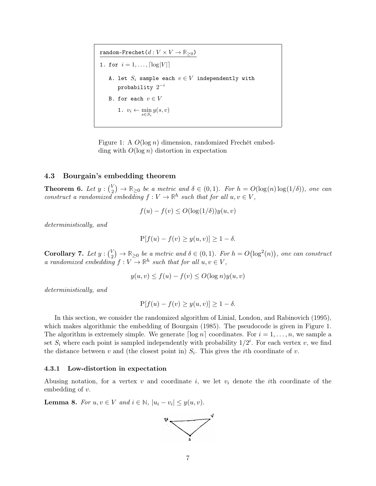random-Frechet $(d : V \times V \to \mathbb{R}_{\geq 0})$ 1. for  $i = 1, ..., \lceil \log |V| \rceil$ A. let  $S_i$  sample each  $v \in V$  independently with  ${\tt probability}$   $2^{-i}$ B. for each  $v \in V$ 1.  $v_i \leftarrow \min_{s \in S_i} y(s, v)$ 

<span id="page-6-0"></span>Figure 1: A O(log n) dimension, randomized Frechét embedding with  $O(\log n)$  distortion in expectation

## 4.3 Bourgain's embedding theorem

**Theorem 6.** Let  $y : \begin{pmatrix} V & 0 \\ 0 & 0 \end{pmatrix}$  $\mathcal{L}_2^V$   $\rightarrow \mathbb{R}_{\geq 0}$  be a metric and  $\delta \in (0,1)$ . For  $h = O(\log(n) \log(1/\delta))$ , one can construct a randomized embedding  $f: V \to \mathbb{R}^h$  such that for all  $u, v \in V$ ,

$$
f(u) - f(v) \le O(\log(1/\delta))y(u, v)
$$

deterministically, and

$$
P[f(u) - f(v) \ge y(u, v)] \ge 1 - \delta.
$$

Corollary 7. Let  $y: \begin{pmatrix} V \\ y \end{pmatrix}$  $\mathbb{R}_2^V$  →  $\mathbb{R}_{\geq 0}$  be a metric and  $\delta \in (0,1)$ . For  $h = O\left(\log^2(n)\right)$ , one can construct a randomized embedding  $f: V \to \mathbb{R}^h$  such that for all  $u, v \in V$ ,

$$
y(u, v) \le f(u) - f(v) \le O(\log n) y(u, v)
$$

deterministically, and

$$
P[f(u) - f(v) \ge y(u, v)] \ge 1 - \delta.
$$

In this section, we consider the randomized algorithm of Linial, London, and Rabinovich [\(1995\)](#page-9-3), which makes algorithmic the embedding of Bourgain [\(1985\)](#page-9-4). The pseudocode is given in [Figure 1.](#page-6-0) The algorithm is extremely simple. We generate  $\lceil \log n \rceil$  coordinates. For  $i = 1, \ldots, n$ , we sample a set  $S_i$  where each point is sampled independently with probability  $1/2^i$ . For each vertex v, we find the distance between  $v$  and (the closest point in)  $S_i$ . This gives the *i*th coordinate of  $v$ .

### 4.3.1 Low-distortion in expectation

Abusing notation, for a vertex  $v$  and coordinate  $i$ , we let  $v_i$  denote the *i*th coordinate of the embedding of v.

<span id="page-6-1"></span>**Lemma 8.** For  $u, v \in V$  and  $i \in \mathbb{N}$ ,  $|u_i - v_i| \leq y(u, v)$ .

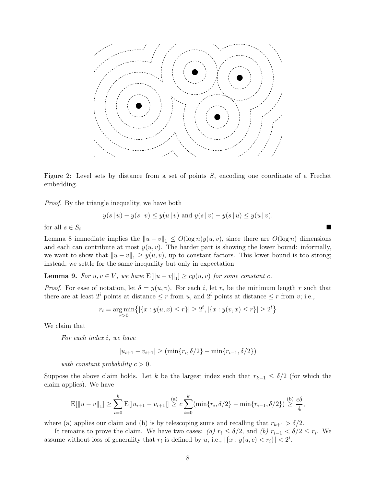

Figure 2: Level sets by distance from a set of points S, encoding one coordinate of a Frechét embedding.

Proof. By the triangle inequality, we have both

$$
y(s | u) - y(s | v) \leq y(u | v)
$$
 and  $y(s | v) - y(s | u) \leq y(u | v)$ .

for all  $s \in S_i$ . . In the second control of the second control of the second control of the second control of the second control

[Lemma 8](#page-6-1) immediate implies the  $||u - v||_1 \le O(\log n)y(u, v)$ , since there are  $O(\log n)$  dimensions and each can contribute at most  $y(u, v)$ . The harder part is showing the lower bound: informally, we want to show that  $||u - v||_1 \geq y(u, v)$ , up to constant factors. This lower bound is too strong; instead, we settle for the same inequality but only in expectation.

**Lemma 9.** For  $u, v \in V$ , we have  $E[\|u - v\|_1] \geq cy(u, v)$  for some constant c.

*Proof.* For ease of notation, let  $\delta = y(u, v)$ . For each i, let  $r_i$  be the minimum length r such that there are at least  $2^i$  points at distance  $\leq r$  from u, and  $2^i$  points at distance  $\leq r$  from v; i.e.,

$$
r_i = \underset{r>0}{\text{arg min}} \{ |\{x : y(u,x) \le r\}| \ge 2^t, |\{x : y(v,x) \le r\}| \ge 2^t \}
$$

We claim that

For each index i, we have

$$
|u_{i+1} - v_{i+1}| \ge (\min\{r_i, \delta/2\} - \min\{r_{i-1}, \delta/2\})
$$

with constant probability  $c > 0$ .

Suppose the above claim holds. Let k be the largest index such that  $r_{k-1} \leq \delta/2$  (for which the claim applies). We have

$$
E[\|u - v\|_1] \ge \sum_{i=0}^k E[|u_{i+1} - v_{i+1}|] \stackrel{(a)}{\ge} c \sum_{i=0}^k (\min\{r_i, \delta/2\} - \min\{r_{i-1}, \delta/2\}) \stackrel{(b)}{\ge} \frac{c\delta}{4},
$$

where (a) applies our claim and (b) is by telescoping sums and recalling that  $r_{k+1} > \delta/2$ .

It remains to prove the claim. We have two cases: (a)  $r_i \leq \delta/2$ , and (b)  $r_{i-1} < \delta/2 \leq r_i$ . We assume without loss of generality that  $r_i$  is defined by u; i.e.,  $|\{x : y(u,c) < r_i\}| < 2^i$ .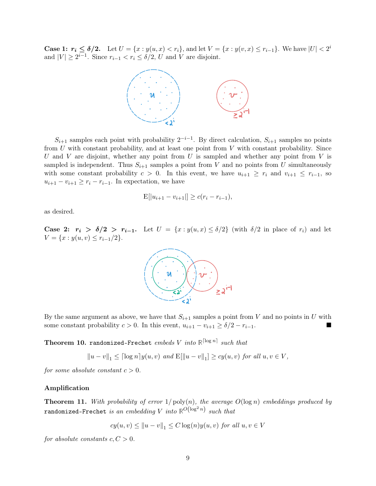**Case 1:**  $r_i \leq \delta/2$ . Let  $U = \{x : y(u, x) < r_i\}$ , and let  $V = \{x : y(v, x) \leq r_{i-1}\}$ . We have  $|U| < 2^i$ and  $|V| \ge 2^{i-1}$ . Since  $r_{i-1} < r_i \le \delta/2$ , U and V are disjoint.



 $S_{i+1}$  samples each point with probability  $2^{-i-1}$ . By direct calculation,  $S_{i+1}$  samples no points from  $U$  with constant probability, and at least one point from  $V$  with constant probability. Since U and V are disjoint, whether any point from U is sampled and whether any point from V is sampled is independent. Thus  $S_{i+1}$  samples a point from V and no points from U simultaneously with some constant probability  $c > 0$ . In this event, we have  $u_{i+1} \geq r_i$  and  $v_{i+1} \leq r_{i-1}$ , so  $u_{i+1} - v_{i+1} \geq r_i - r_{i-1}$ . In expectation, we have

$$
E[|u_{i+1} - v_{i+1}|] \ge c(r_i - r_{i-1}),
$$

as desired.

Case 2:  $r_i > \delta/2 > r_{i-1}$ . Let  $U = \{x : y(u,x) \leq \delta/2\}$  (with  $\delta/2$  in place of  $r_i$ ) and let  $V = \{x : y(u, v) \leq r_{i-1}/2\}.$ 



By the same argument as above, we have that  $S_{i+1}$  samples a point from V and no points in U with some constant probability  $c > 0$ . In this event,  $u_{i+1} - v_{i+1} \ge \delta/2 - r_{i-1}$ .

Theorem 10. randomized-Frechet  $embeds$  V  $into$   $\mathbb{R}^{\lceil \log n \rceil}$  such that

$$
||u - v||_1 \leq [\log n] y(u, v)
$$
 and  $E[||u - v||_1] \geq cy(u, v)$  for all  $u, v \in V$ ,

for some absolute constant  $c > 0$ .

#### Amplification

**Theorem 11.** With probability of error  $1/\text{poly}(n)$ , the average  $O(\log n)$  embeddings produced by  $\texttt{randomized-Frechet} \ \emph{is an embedding } V \ \emph{into} \ \mathbb{R}^{O\left(\log^2 n\right)} \ \emph{such that}$ 

$$
cy(u, v) \le ||u - v||_1 \le C \log(n) y(u, v) \text{ for all } u, v \in V
$$

for absolute constants  $c, C > 0$ .